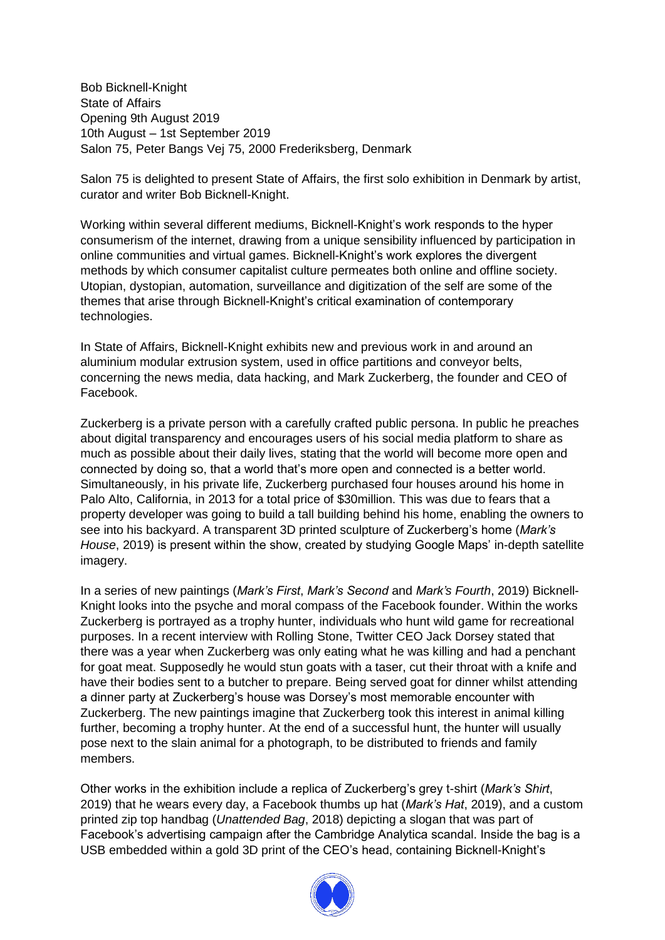Bob Bicknell-Knight State of Affairs Opening 9th August 2019 10th August – 1st September 2019 Salon 75, Peter Bangs Vej 75, 2000 Frederiksberg, Denmark

Salon 75 is delighted to present State of Affairs, the first solo exhibition in Denmark by artist, curator and writer Bob Bicknell-Knight.

Working within several different mediums, Bicknell-Knight's work responds to the hyper consumerism of the internet, drawing from a unique sensibility influenced by participation in online communities and virtual games. Bicknell-Knight's work explores the divergent methods by which consumer capitalist culture permeates both online and offline society. Utopian, dystopian, automation, surveillance and digitization of the self are some of the themes that arise through Bicknell-Knight's critical examination of contemporary technologies.

In State of Affairs, Bicknell-Knight exhibits new and previous work in and around an aluminium modular extrusion system, used in office partitions and conveyor belts, concerning the news media, data hacking, and Mark Zuckerberg, the founder and CEO of Facebook.

Zuckerberg is a private person with a carefully crafted public persona. In public he preaches about digital transparency and encourages users of his social media platform to share as much as possible about their daily lives, stating that the world will become more open and connected by doing so, that a world that's more open and connected is a better world. Simultaneously, in his private life, Zuckerberg purchased four houses around his home in Palo Alto, California, in 2013 for a total price of \$30million. This was due to fears that a property developer was going to build a tall building behind his home, enabling the owners to see into his backyard. A transparent 3D printed sculpture of Zuckerberg's home (*Mark's House*, 2019) is present within the show, created by studying Google Maps' in-depth satellite imagery.

In a series of new paintings (*Mark's First*, *Mark's Second* and *Mark's Fourth*, 2019) Bicknell-Knight looks into the psyche and moral compass of the Facebook founder. Within the works Zuckerberg is portrayed as a trophy hunter, individuals who hunt wild game for recreational purposes. In a recent interview with Rolling Stone, Twitter CEO Jack Dorsey stated that there was a year when Zuckerberg was only eating what he was killing and had a penchant for goat meat. Supposedly he would stun goats with a taser, cut their throat with a knife and have their bodies sent to a butcher to prepare. Being served goat for dinner whilst attending a dinner party at Zuckerberg's house was Dorsey's most memorable encounter with Zuckerberg. The new paintings imagine that Zuckerberg took this interest in animal killing further, becoming a trophy hunter. At the end of a successful hunt, the hunter will usually pose next to the slain animal for a photograph, to be distributed to friends and family members.

Other works in the exhibition include a replica of Zuckerberg's grey t-shirt (*Mark's Shirt*, 2019) that he wears every day, a Facebook thumbs up hat (*Mark's Hat*, 2019), and a custom printed zip top handbag (*Unattended Bag*, 2018) depicting a slogan that was part of Facebook's advertising campaign after the Cambridge Analytica scandal. Inside the bag is a USB embedded within a gold 3D print of the CEO's head, containing Bicknell-Knight's

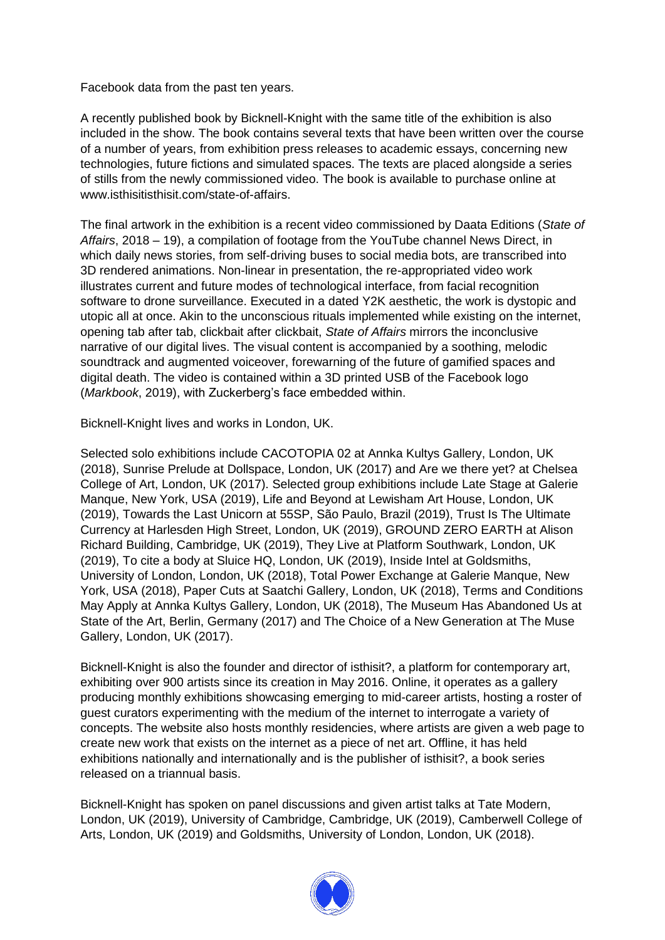Facebook data from the past ten years.

A recently published book by Bicknell-Knight with the same title of the exhibition is also included in the show. The book contains several texts that have been written over the course of a number of years, from exhibition press releases to academic essays, concerning new technologies, future fictions and simulated spaces. The texts are placed alongside a series of stills from the newly commissioned video. The book is available to purchase online at www.isthisitisthisit.com/state-of-affairs.

The final artwork in the exhibition is a recent video commissioned by Daata Editions (*State of Affairs*, 2018 – 19), a compilation of footage from the YouTube channel News Direct, in which daily news stories, from self-driving buses to social media bots, are transcribed into 3D rendered animations. Non-linear in presentation, the re-appropriated video work illustrates current and future modes of technological interface, from facial recognition software to drone surveillance. Executed in a dated Y2K aesthetic, the work is dystopic and utopic all at once. Akin to the unconscious rituals implemented while existing on the internet, opening tab after tab, clickbait after clickbait, *State of Affairs* mirrors the inconclusive narrative of our digital lives. The visual content is accompanied by a soothing, melodic soundtrack and augmented voiceover, forewarning of the future of gamified spaces and digital death. The video is contained within a 3D printed USB of the Facebook logo (*Markbook*, 2019), with Zuckerberg's face embedded within.

Bicknell-Knight lives and works in London, UK.

Selected solo exhibitions include CACOTOPIA 02 at Annka Kultys Gallery, London, UK (2018), Sunrise Prelude at Dollspace, London, UK (2017) and Are we there yet? at Chelsea College of Art, London, UK (2017). Selected group exhibitions include Late Stage at Galerie Manque, New York, USA (2019), Life and Beyond at Lewisham Art House, London, UK (2019), Towards the Last Unicorn at 55SP, São Paulo, Brazil (2019), Trust Is The Ultimate Currency at Harlesden High Street, London, UK (2019), GROUND ZERO EARTH at Alison Richard Building, Cambridge, UK (2019), They Live at Platform Southwark, London, UK (2019), To cite a body at Sluice HQ, London, UK (2019), Inside Intel at Goldsmiths, University of London, London, UK (2018), Total Power Exchange at Galerie Manque, New York, USA (2018), Paper Cuts at Saatchi Gallery, London, UK (2018), Terms and Conditions May Apply at Annka Kultys Gallery, London, UK (2018), The Museum Has Abandoned Us at State of the Art, Berlin, Germany (2017) and The Choice of a New Generation at The Muse Gallery, London, UK (2017).

Bicknell-Knight is also the founder and director of isthisit?, a platform for contemporary art, exhibiting over 900 artists since its creation in May 2016. Online, it operates as a gallery producing monthly exhibitions showcasing emerging to mid-career artists, hosting a roster of guest curators experimenting with the medium of the internet to interrogate a variety of concepts. The website also hosts monthly residencies, where artists are given a web page to create new work that exists on the internet as a piece of net art. Offline, it has held exhibitions nationally and internationally and is the publisher of isthisit?, a book series released on a triannual basis.

Bicknell-Knight has spoken on panel discussions and given artist talks at Tate Modern, London, UK (2019), University of Cambridge, Cambridge, UK (2019), Camberwell College of Arts, London, UK (2019) and Goldsmiths, University of London, London, UK (2018).